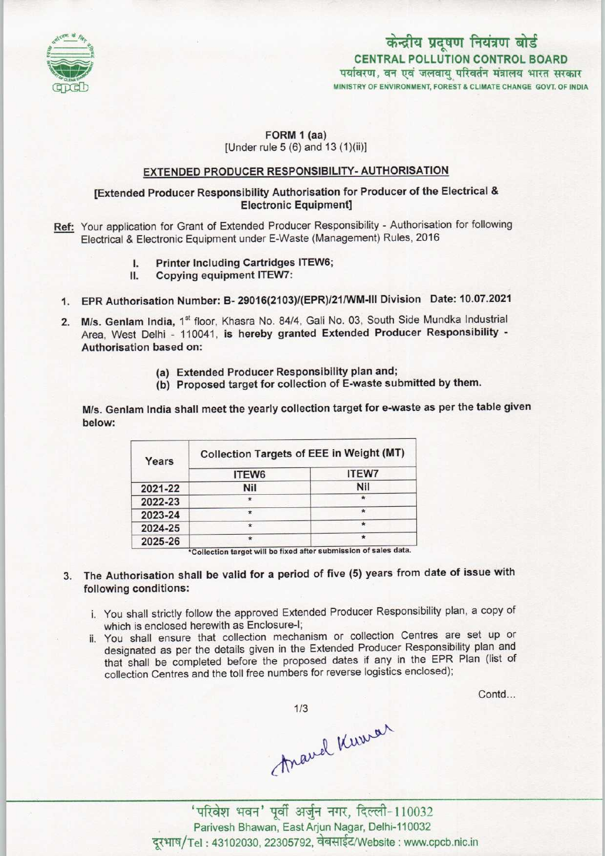

# केन्द्रीय प्रदूषण नियंत्रण बोर्ड CENTRAL POLLUTION CONTROL BOARD<br>पर्यावरण, वन एवं जलवायु परिवर्तन मंत्रालय भारत सरकार MINISTRY OF ENVIRONMENT, FOREST & CLIMATE CHANGE GOVT, OF INDIA

## FORM 1 (aa) [Under rule 5 (6) and 13 (1)(ii)]

#### EXTENDED PRODUCER RESPONSIBILITY-AUTHORISATION

#### [Extended Producer Responsibility Authorisation for Producer of the Electrical & Electronic Equipment]

- Ref: Your application for Grant of Extended Producer Responsibility Authorisation for following Electrical & Electronic Equipment under E-Waste (Management) Rules, 2016
	- I. Printer Including Cartridges ITEW6;<br>II. Copying equipment ITEW7:
		- Copying equipment ITEW7:
	- 1.EPR Authorisation Number: B- 29016(2103)/(EPR)/21/WM-lll Division Date: 10.07.2021
	- 2. M/s. Genlam India, 1<sup>st</sup> floor, Khasra No. 84/4, Gali No. 03, South Side Mundka Industrial Area, West Delhi - 110041, is hereby granted Extended Producer Responsibility - Authorisation based on:
		- (a)Extended Producer Responsibility plan and;
		- (b) Proposed target for collection of E-waste submitted by them.

M/s. Genlam India shall meet the yearly collection target for e-waste as per the table given below:

| Years   | <b>Collection Targets of EEE in Weight (MT)</b> |              |
|---------|-------------------------------------------------|--------------|
|         | ITEW6                                           | <b>ITEW7</b> |
| 2021-22 | <b>Nil</b>                                      | <b>Nil</b>   |
| 2022-23 | ٠                                               |              |
| 2023-24 |                                                 |              |
| 2024-25 |                                                 | $\star$      |
| 2025-26 |                                                 |              |

\*Collection target will be fixed after submission of sales data.

- 3. The Authorisation shall be valid for a period of five (5) years from date of issue with following conditions:
	- i. You shall strictly follow the approved Extended Producer Responsibility plan, a copy of which is enclosed herewith as Enclosure-I;
	- ii. You shall ensure that collection mechanism or collection Centres are set up or designated as per the details given in the Extended Producer Responsibility plan and that shall be completed before the proposed dates if any in the EPR Plan (list of collection Centres and the toll free numbers for reverse logistics enclosed);

Contd...

 $1/3$ 

 $A^{\text{newel}}$  Kuwal

Parivesh Bhawan, East Arjun Nagar, Delhi-110032 दरभाष/Tel: 43102030, 22305792, वेबसाईट/Website : www.cpcb.nic.in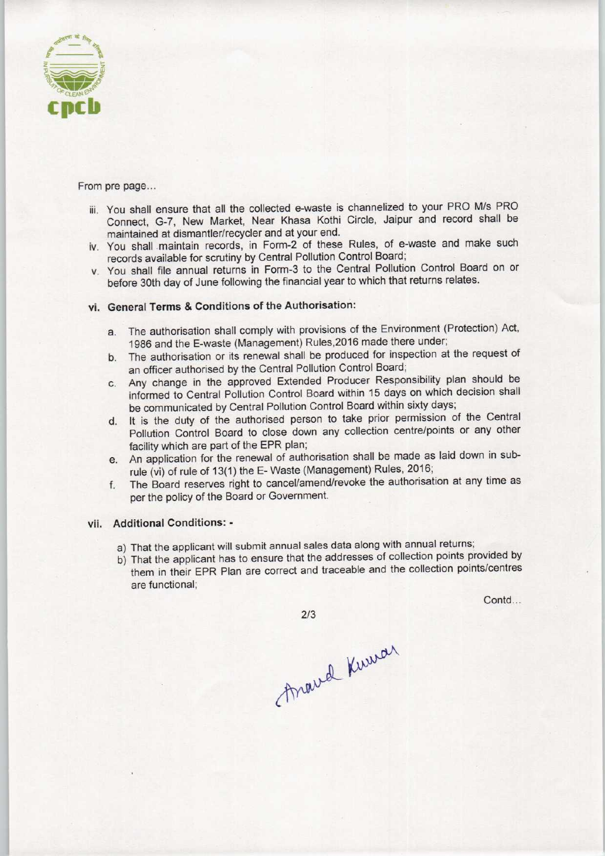

From pre page...

- iii. You shall ensure that all the collected e-waste is channelized to your PRO M/s PRO Connect. G-7, New Market, Near Khasa Kothi Circle, Jaipur and record shall be maintained at dismantler/recycler and at your end.
- iv. You shall maintain records, in Form-2 of these Rules, of e-waste and make such records available for scrutiny by Central Pollution Control Board;
- v. You shall file annual returns in Form-3 to the Central Pollution Control Board on or before 30th day of June following the financial year to which that returns relates.

### vi. General Terms & Conditions of the Authorisation:

- a. The authorisation shall comply with provisions of the Environment (Protection) Act, 1986 and the E-waste (Management) Rules.2016 made there under;
- b.The authorisation or its renewal shall be produced for inspection at the request of an officer authorised by the Central Pollution Control Board;
- c.Any change in the approved Extended Producer Responsibility plan should be informed to Central Pollution Control Board within 15 days on which decision shall be communicated by Central Pollution Control Board within sixty days;
- d. It is the duty of the authorised person to take prior permission of the Central Pollution Control Board to close down any collection centre/points or any other facility which are part of the EPR plan;
- e. An application for the renewal of authorisation shall be made as laid down in subrule (vi) of rule of 13(1) the E- Waste (Management) Rules, 2016;
- f. The Board reserves right to cancel/amend/revoke the authorisation at any time as per the policy of the Board or Government.

#### vii. Additional Conditions: -

- a)That the applicant will submit annual sales data along with annual returns;
- b) That the applicant has to ensure that the addresses of collection points provided by them in their EPR Plan are correct and traceable and the collection points/centres are functional;

Contd...

 $2/3$ 

Anaval Kuwar